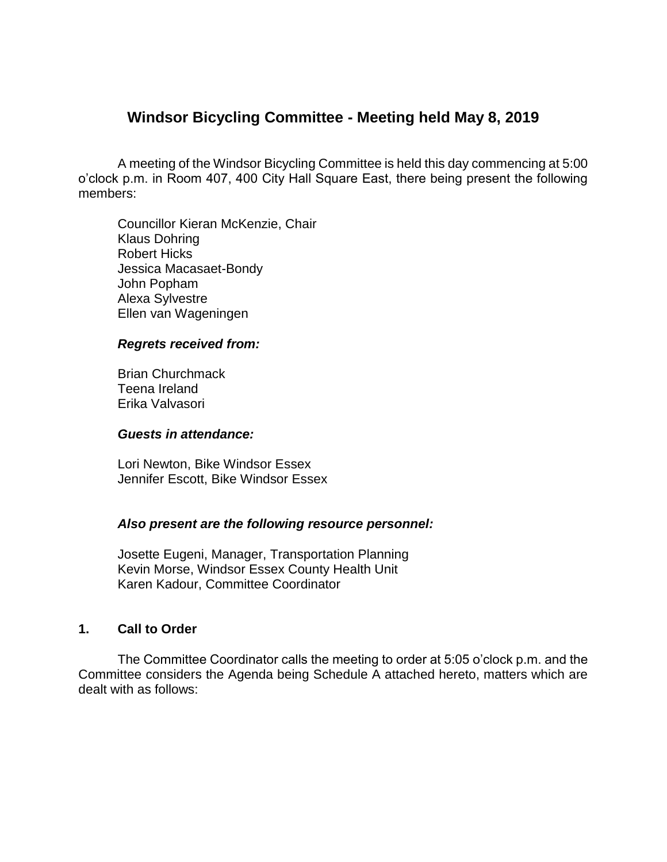# **Windsor Bicycling Committee - Meeting held May 8, 2019**

A meeting of the Windsor Bicycling Committee is held this day commencing at 5:00 o'clock p.m. in Room 407, 400 City Hall Square East, there being present the following members:

Councillor Kieran McKenzie, Chair Klaus Dohring Robert Hicks Jessica Macasaet-Bondy John Popham Alexa Sylvestre Ellen van Wageningen

#### *Regrets received from:*

Brian Churchmack Teena Ireland Erika Valvasori

#### *Guests in attendance:*

Lori Newton, Bike Windsor Essex Jennifer Escott, Bike Windsor Essex

#### *Also present are the following resource personnel:*

Josette Eugeni, Manager, Transportation Planning Kevin Morse, Windsor Essex County Health Unit Karen Kadour, Committee Coordinator

#### **1. Call to Order**

The Committee Coordinator calls the meeting to order at 5:05 o'clock p.m. and the Committee considers the Agenda being Schedule A attached hereto, matters which are dealt with as follows: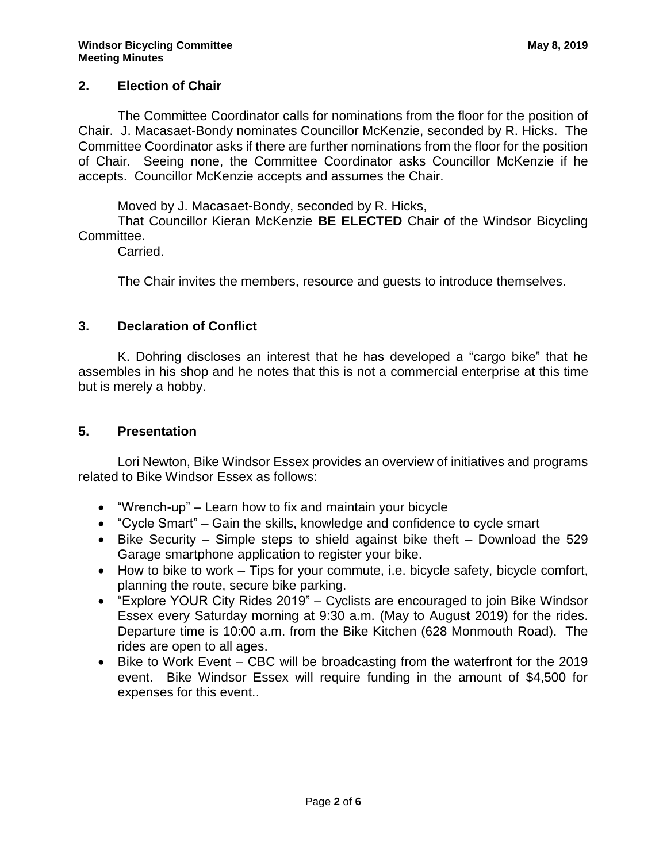### **2. Election of Chair**

The Committee Coordinator calls for nominations from the floor for the position of Chair. J. Macasaet-Bondy nominates Councillor McKenzie, seconded by R. Hicks. The Committee Coordinator asks if there are further nominations from the floor for the position of Chair. Seeing none, the Committee Coordinator asks Councillor McKenzie if he accepts. Councillor McKenzie accepts and assumes the Chair.

Moved by J. Macasaet-Bondy, seconded by R. Hicks,

That Councillor Kieran McKenzie **BE ELECTED** Chair of the Windsor Bicycling Committee.

Carried.

The Chair invites the members, resource and guests to introduce themselves.

#### **3. Declaration of Conflict**

K. Dohring discloses an interest that he has developed a "cargo bike" that he assembles in his shop and he notes that this is not a commercial enterprise at this time but is merely a hobby.

#### **5. Presentation**

Lori Newton, Bike Windsor Essex provides an overview of initiatives and programs related to Bike Windsor Essex as follows:

- "Wrench-up" Learn how to fix and maintain your bicycle
- "Cycle Smart" Gain the skills, knowledge and confidence to cycle smart
- $\bullet$  Bike Security Simple steps to shield against bike theft Download the 529 Garage smartphone application to register your bike.
- How to bike to work Tips for your commute, i.e. bicycle safety, bicycle comfort, planning the route, secure bike parking.
- "Explore YOUR City Rides 2019" Cyclists are encouraged to join Bike Windsor Essex every Saturday morning at 9:30 a.m. (May to August 2019) for the rides. Departure time is 10:00 a.m. from the Bike Kitchen (628 Monmouth Road). The rides are open to all ages.
- Bike to Work Event CBC will be broadcasting from the waterfront for the 2019 event. Bike Windsor Essex will require funding in the amount of \$4,500 for expenses for this event..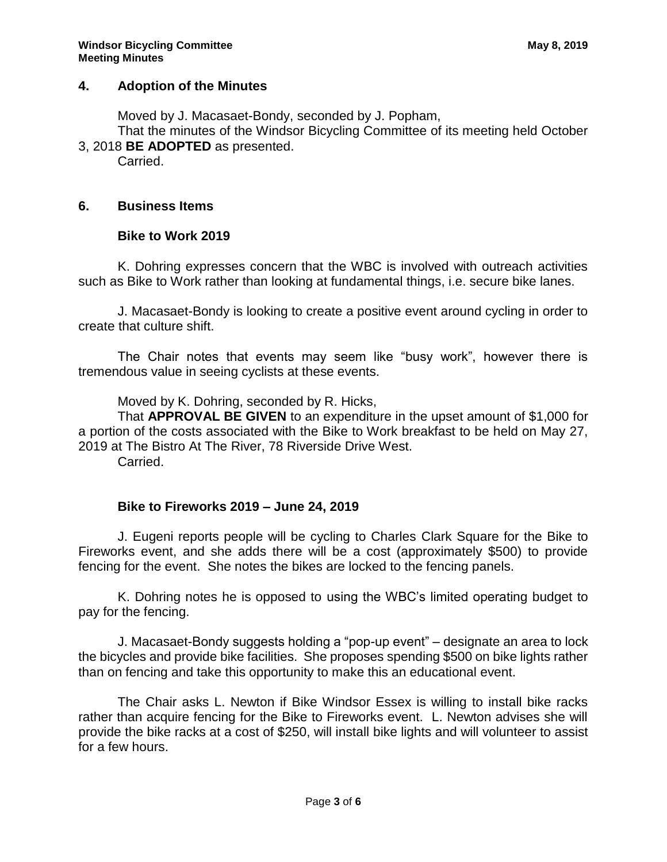### **4. Adoption of the Minutes**

Moved by J. Macasaet-Bondy, seconded by J. Popham,

That the minutes of the Windsor Bicycling Committee of its meeting held October 3, 2018 **BE ADOPTED** as presented.

Carried.

### **6. Business Items**

### **Bike to Work 2019**

K. Dohring expresses concern that the WBC is involved with outreach activities such as Bike to Work rather than looking at fundamental things, i.e. secure bike lanes.

J. Macasaet-Bondy is looking to create a positive event around cycling in order to create that culture shift.

The Chair notes that events may seem like "busy work", however there is tremendous value in seeing cyclists at these events.

Moved by K. Dohring, seconded by R. Hicks,

That **APPROVAL BE GIVEN** to an expenditure in the upset amount of \$1,000 for a portion of the costs associated with the Bike to Work breakfast to be held on May 27, 2019 at The Bistro At The River, 78 Riverside Drive West.

Carried.

# **Bike to Fireworks 2019 – June 24, 2019**

J. Eugeni reports people will be cycling to Charles Clark Square for the Bike to Fireworks event, and she adds there will be a cost (approximately \$500) to provide fencing for the event. She notes the bikes are locked to the fencing panels.

K. Dohring notes he is opposed to using the WBC's limited operating budget to pay for the fencing.

J. Macasaet-Bondy suggests holding a "pop-up event" – designate an area to lock the bicycles and provide bike facilities. She proposes spending \$500 on bike lights rather than on fencing and take this opportunity to make this an educational event.

The Chair asks L. Newton if Bike Windsor Essex is willing to install bike racks rather than acquire fencing for the Bike to Fireworks event. L. Newton advises she will provide the bike racks at a cost of \$250, will install bike lights and will volunteer to assist for a few hours.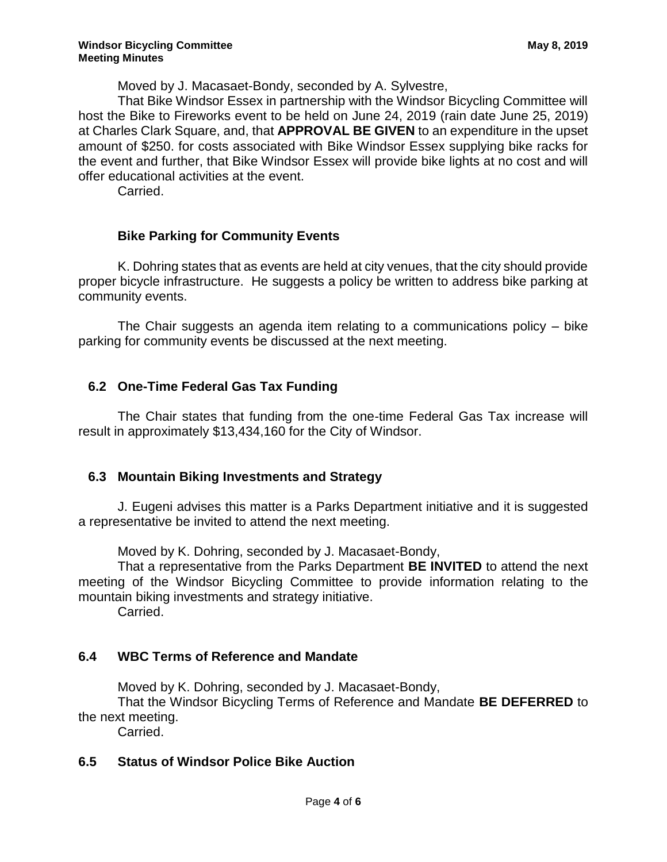Moved by J. Macasaet-Bondy, seconded by A. Sylvestre,

That Bike Windsor Essex in partnership with the Windsor Bicycling Committee will host the Bike to Fireworks event to be held on June 24, 2019 (rain date June 25, 2019) at Charles Clark Square, and, that **APPROVAL BE GIVEN** to an expenditure in the upset amount of \$250. for costs associated with Bike Windsor Essex supplying bike racks for the event and further, that Bike Windsor Essex will provide bike lights at no cost and will offer educational activities at the event.

Carried.

### **Bike Parking for Community Events**

K. Dohring states that as events are held at city venues, that the city should provide proper bicycle infrastructure. He suggests a policy be written to address bike parking at community events.

The Chair suggests an agenda item relating to a communications policy – bike parking for community events be discussed at the next meeting.

### **6.2 One-Time Federal Gas Tax Funding**

The Chair states that funding from the one-time Federal Gas Tax increase will result in approximately \$13,434,160 for the City of Windsor.

### **6.3 Mountain Biking Investments and Strategy**

J. Eugeni advises this matter is a Parks Department initiative and it is suggested a representative be invited to attend the next meeting.

Moved by K. Dohring, seconded by J. Macasaet-Bondy,

That a representative from the Parks Department **BE INVITED** to attend the next meeting of the Windsor Bicycling Committee to provide information relating to the mountain biking investments and strategy initiative.

Carried.

# **6.4 WBC Terms of Reference and Mandate**

Moved by K. Dohring, seconded by J. Macasaet-Bondy,

That the Windsor Bicycling Terms of Reference and Mandate **BE DEFERRED** to the next meeting.

Carried.

# **6.5 Status of Windsor Police Bike Auction**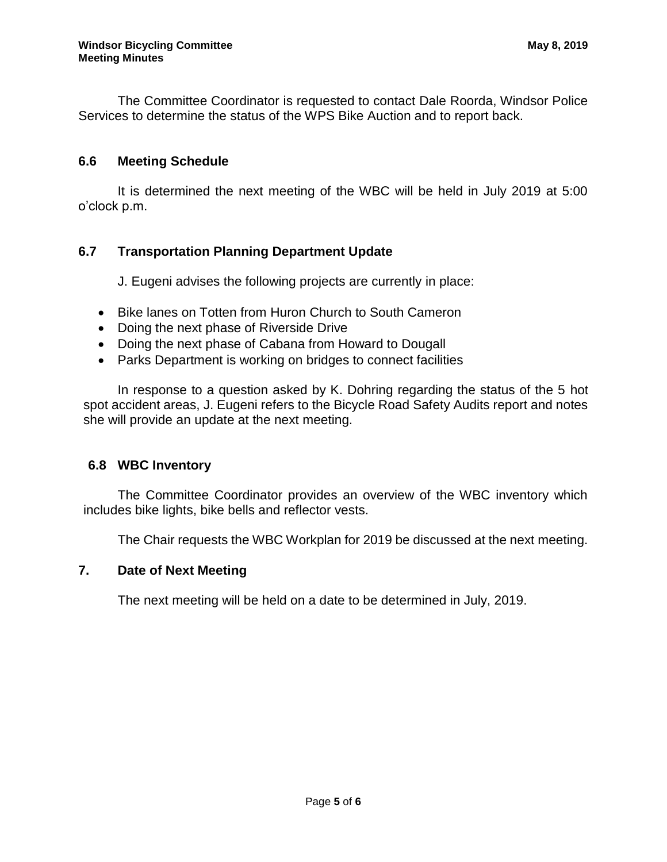The Committee Coordinator is requested to contact Dale Roorda, Windsor Police Services to determine the status of the WPS Bike Auction and to report back.

### **6.6 Meeting Schedule**

It is determined the next meeting of the WBC will be held in July 2019 at 5:00 o'clock p.m.

# **6.7 Transportation Planning Department Update**

J. Eugeni advises the following projects are currently in place:

- Bike lanes on Totten from Huron Church to South Cameron
- Doing the next phase of Riverside Drive
- Doing the next phase of Cabana from Howard to Dougall
- Parks Department is working on bridges to connect facilities

In response to a question asked by K. Dohring regarding the status of the 5 hot spot accident areas, J. Eugeni refers to the Bicycle Road Safety Audits report and notes she will provide an update at the next meeting.

### **6.8 WBC Inventory**

The Committee Coordinator provides an overview of the WBC inventory which includes bike lights, bike bells and reflector vests.

The Chair requests the WBC Workplan for 2019 be discussed at the next meeting.

### **7. Date of Next Meeting**

The next meeting will be held on a date to be determined in July, 2019.